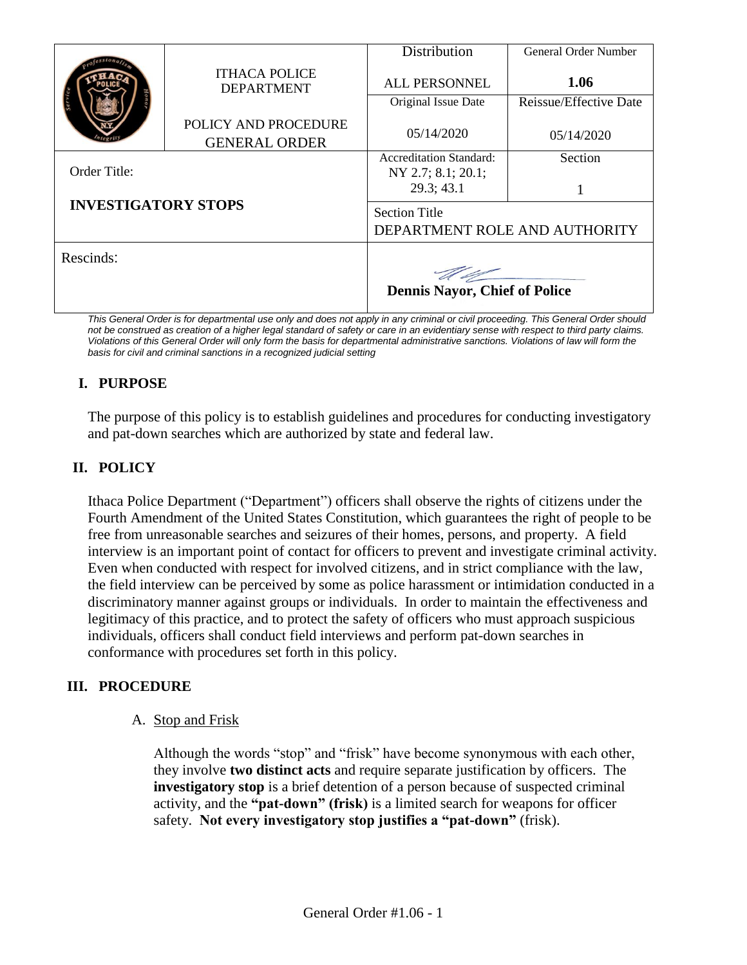|                            |                                              | Distribution                                          | General Order Number   |
|----------------------------|----------------------------------------------|-------------------------------------------------------|------------------------|
|                            | <b>ITHACA POLICE</b><br><b>DEPARTMENT</b>    | <b>ALL PERSONNEL</b>                                  | 1.06                   |
|                            |                                              | Original Issue Date                                   | Reissue/Effective Date |
|                            | POLICY AND PROCEDURE<br><b>GENERAL ORDER</b> | 05/14/2020                                            | 05/14/2020             |
|                            |                                              | <b>Accreditation Standard:</b>                        | Section                |
| Order Title:               |                                              | NY 2.7; 8.1; 20.1;<br>29.3; 43.1                      |                        |
| <b>INVESTIGATORY STOPS</b> |                                              | <b>Section Title</b><br>DEPARTMENT ROLE AND AUTHORITY |                        |
| Rescinds:                  |                                              | <b>Dennis Nayor, Chief of Police</b>                  |                        |

*This General Order is for departmental use only and does not apply in any criminal or civil proceeding. This General Order should*  not be construed as creation of a higher legal standard of safety or care in an evidentiary sense with respect to third party claims. *Violations of this General Order will only form the basis for departmental administrative sanctions. Violations of law will form the basis for civil and criminal sanctions in a recognized judicial setting*

# **I. PURPOSE**

The purpose of this policy is to establish guidelines and procedures for conducting investigatory and pat-down searches which are authorized by state and federal law.

## **II. POLICY**

Ithaca Police Department ("Department") officers shall observe the rights of citizens under the Fourth Amendment of the United States Constitution, which guarantees the right of people to be free from unreasonable searches and seizures of their homes, persons, and property. A field interview is an important point of contact for officers to prevent and investigate criminal activity. Even when conducted with respect for involved citizens, and in strict compliance with the law, the field interview can be perceived by some as police harassment or intimidation conducted in a discriminatory manner against groups or individuals. In order to maintain the effectiveness and legitimacy of this practice, and to protect the safety of officers who must approach suspicious individuals, officers shall conduct field interviews and perform pat-down searches in conformance with procedures set forth in this policy.

## **III. PROCEDURE**

A. Stop and Frisk

Although the words "stop" and "frisk" have become synonymous with each other, they involve **two distinct acts** and require separate justification by officers. The **investigatory stop** is a brief detention of a person because of suspected criminal activity, and the **"pat-down" (frisk)** is a limited search for weapons for officer safety. **Not every investigatory stop justifies a "pat-down"** (frisk).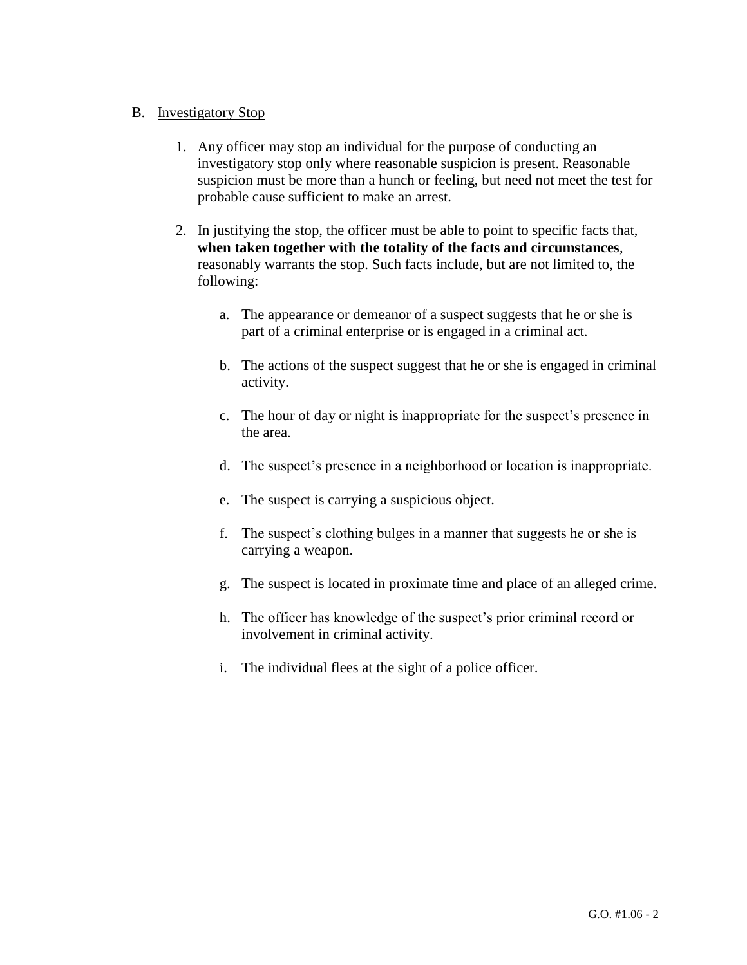### B. Investigatory Stop

- 1. Any officer may stop an individual for the purpose of conducting an investigatory stop only where reasonable suspicion is present. Reasonable suspicion must be more than a hunch or feeling, but need not meet the test for probable cause sufficient to make an arrest.
- 2. In justifying the stop, the officer must be able to point to specific facts that, **when taken together with the totality of the facts and circumstances**, reasonably warrants the stop. Such facts include, but are not limited to, the following:
	- a. The appearance or demeanor of a suspect suggests that he or she is part of a criminal enterprise or is engaged in a criminal act.
	- b. The actions of the suspect suggest that he or she is engaged in criminal activity.
	- c. The hour of day or night is inappropriate for the suspect's presence in the area.
	- d. The suspect's presence in a neighborhood or location is inappropriate.
	- e. The suspect is carrying a suspicious object.
	- f. The suspect's clothing bulges in a manner that suggests he or she is carrying a weapon.
	- g. The suspect is located in proximate time and place of an alleged crime.
	- h. The officer has knowledge of the suspect's prior criminal record or involvement in criminal activity.
	- i. The individual flees at the sight of a police officer.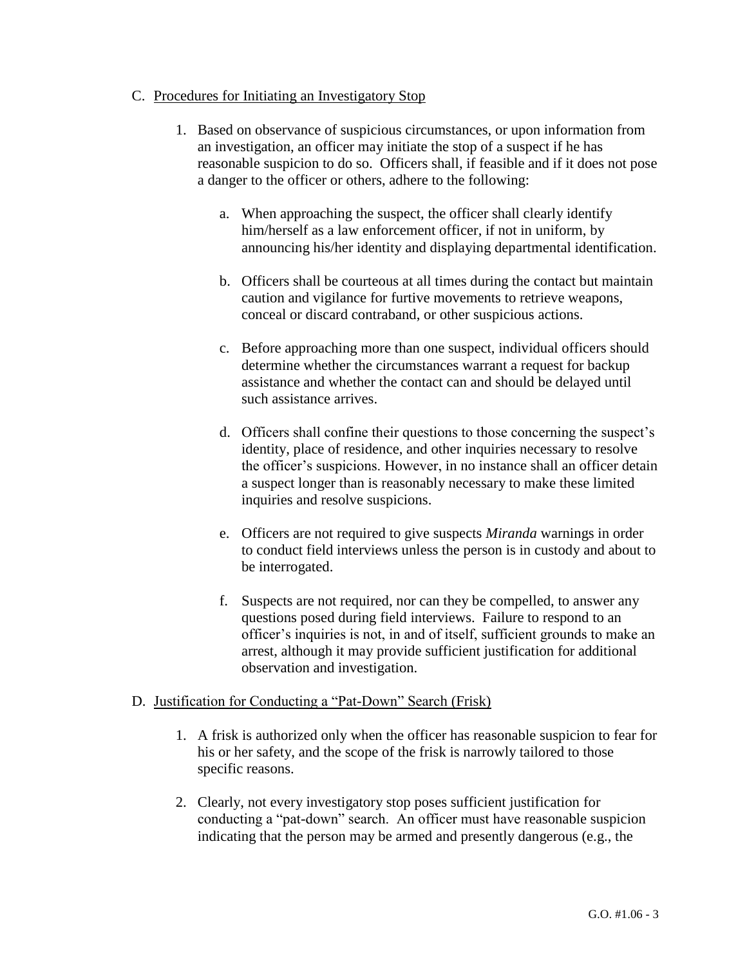#### C. Procedures for Initiating an Investigatory Stop

- 1. Based on observance of suspicious circumstances, or upon information from an investigation, an officer may initiate the stop of a suspect if he has reasonable suspicion to do so. Officers shall, if feasible and if it does not pose a danger to the officer or others, adhere to the following:
	- a. When approaching the suspect, the officer shall clearly identify him/herself as a law enforcement officer, if not in uniform, by announcing his/her identity and displaying departmental identification.
	- b. Officers shall be courteous at all times during the contact but maintain caution and vigilance for furtive movements to retrieve weapons, conceal or discard contraband, or other suspicious actions.
	- c. Before approaching more than one suspect, individual officers should determine whether the circumstances warrant a request for backup assistance and whether the contact can and should be delayed until such assistance arrives.
	- d. Officers shall confine their questions to those concerning the suspect's identity, place of residence, and other inquiries necessary to resolve the officer's suspicions. However, in no instance shall an officer detain a suspect longer than is reasonably necessary to make these limited inquiries and resolve suspicions.
	- e. Officers are not required to give suspects *Miranda* warnings in order to conduct field interviews unless the person is in custody and about to be interrogated.
	- f. Suspects are not required, nor can they be compelled, to answer any questions posed during field interviews. Failure to respond to an officer's inquiries is not, in and of itself, sufficient grounds to make an arrest, although it may provide sufficient justification for additional observation and investigation.

#### D. Justification for Conducting a "Pat-Down" Search (Frisk)

- 1. A frisk is authorized only when the officer has reasonable suspicion to fear for his or her safety, and the scope of the frisk is narrowly tailored to those specific reasons.
- 2. Clearly, not every investigatory stop poses sufficient justification for conducting a "pat-down" search. An officer must have reasonable suspicion indicating that the person may be armed and presently dangerous (e.g., the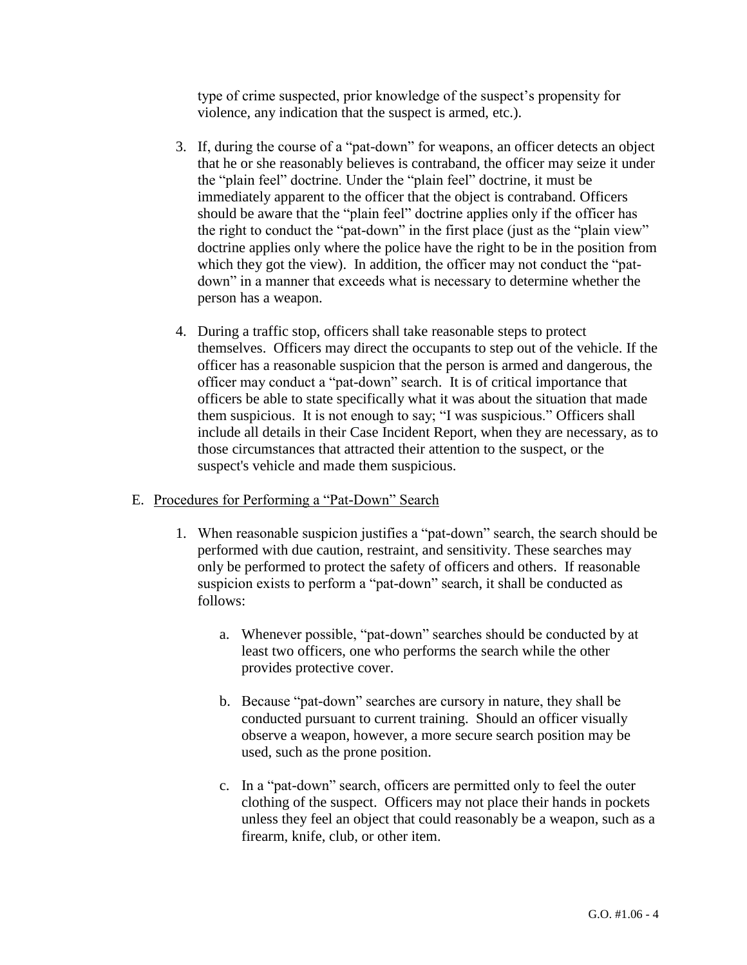type of crime suspected, prior knowledge of the suspect's propensity for violence, any indication that the suspect is armed, etc.).

- 3. If, during the course of a "pat-down" for weapons, an officer detects an object that he or she reasonably believes is contraband, the officer may seize it under the "plain feel" doctrine. Under the "plain feel" doctrine, it must be immediately apparent to the officer that the object is contraband. Officers should be aware that the "plain feel" doctrine applies only if the officer has the right to conduct the "pat-down" in the first place (just as the "plain view" doctrine applies only where the police have the right to be in the position from which they got the view). In addition, the officer may not conduct the "patdown" in a manner that exceeds what is necessary to determine whether the person has a weapon.
- 4. During a traffic stop, officers shall take reasonable steps to protect themselves. Officers may direct the occupants to step out of the vehicle. If the officer has a reasonable suspicion that the person is armed and dangerous, the officer may conduct a "pat-down" search. It is of critical importance that officers be able to state specifically what it was about the situation that made them suspicious. It is not enough to say; "I was suspicious." Officers shall include all details in their Case Incident Report, when they are necessary, as to those circumstances that attracted their attention to the suspect, or the suspect's vehicle and made them suspicious.

#### E. Procedures for Performing a "Pat-Down" Search

- 1. When reasonable suspicion justifies a "pat-down" search, the search should be performed with due caution, restraint, and sensitivity. These searches may only be performed to protect the safety of officers and others. If reasonable suspicion exists to perform a "pat-down" search, it shall be conducted as follows:
	- a. Whenever possible, "pat-down" searches should be conducted by at least two officers, one who performs the search while the other provides protective cover.
	- b. Because "pat-down" searches are cursory in nature, they shall be conducted pursuant to current training. Should an officer visually observe a weapon, however, a more secure search position may be used, such as the prone position.
	- c. In a "pat-down" search, officers are permitted only to feel the outer clothing of the suspect. Officers may not place their hands in pockets unless they feel an object that could reasonably be a weapon, such as a firearm, knife, club, or other item.